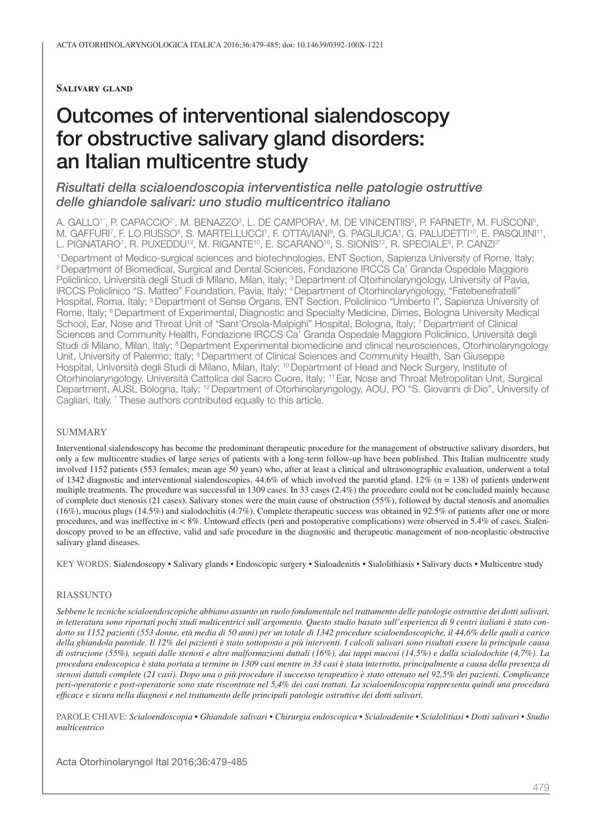#### **Salivary gland**

# Outcomes of interventional sialendoscopy for obstructive salivary gland disorders: an Italian multicentre study

# *Risultati della scialoendoscopia interventistica nelle patologie ostruttive delle ghiandole salivari: uno studio multicentrico italiano*

A. GALLO'`, P. CAPACCIO<sup>2</sup>', M. BENAZZO<sup>3</sup>, L. DE CAMPORA<sup>4</sup>, M. DE VINCENTIIS<sup>5</sup>, P. FARNETI<sup>6</sup>, M. FUSCONI<sup>5</sup> , M. GAFFURI<sup>7</sup>, F. LO RUSSO<sup>8</sup>, S. MARTELLUCCI<sup>1</sup>, F. OTTAVIANIº, G. PAGLIUCA', G. PALUDETTI'º, E. PASQUINI'', L. PIGNATARO<sup>7</sup>, R. PUXEDDU<sup>12</sup>, M. RIGANTE<sup>10</sup>, E. SCARANO<sup>10</sup>, S. SIONIS<sup>12</sup>, R. SPECIALE<sup>8</sup>, P. CANZI<sup>3</sup>'

1 Department of Medico-surgical sciences and biotechnologies, ENT Section, Sapienza University of Rome, Italy; 2 Department of Biomedical, Surgical and Dental Sciences, Fondazione IRCCS Ca' Granda Ospedale Maggiore Policlinico, Università degli Studi di Milano, Milan, Italy; <sup>3</sup> Department of Otorhinolaryngology, University of Pavia, IRCCS Policlinico "S. Matteo" Foundation, Pavia, Italy; 4 Department of Otorhinolaryngology, "Fatebenefratelli" Hospital, Roma, Italy; <sup>5</sup> Department of Sense Organs, ENT Section, Policlinico "Umberto I", Sapienza University of Rome, Italy; 6 Department of Experimental, Diagnostic and Specialty Medicine, Dimes, Bologna University Medical School, Ear, Nose and Throat Unit of "Sant'Orsola-Malpighi" Hospital, Bologna, Italy; 7 Department of Clinical Sciences and Community Health, Fondazione IRCCS Ca' Granda Ospedale Maggiore Policlinico, Università degli Studi di Milano, Milan, Italy; <sup>8</sup> Department Experimental biomedicine and clinical neurosciences, Otorhinolaryngology Unit, University of Palermo; Italy; <sup>9</sup> Department of Clinical Sciences and Community Health, San Giuseppe Hospital, Università degli Studi di Milano, Milan, Italy; 10 Department of Head and Neck Surgery, Institute of Otorhinolaryngology, Università Cattolica del Sacro Cuore, Italy; 11 Ear, Nose and Throat Metropolitan Unit, Surgical Department, AUSL Bologna, Italy; 12 Department of Otorhinolaryngology, AOU, PO "S. Giovanni di Dio", University of Cagliari, Italy. \* These authors contributed equally to this article.

#### SUMMARY

Interventional sialendoscopy has become the predominant therapeutic procedure for the management of obstructive salivary disorders, but only a few multicentre studies of large series of patients with a long-term follow-up have been published. This Italian multicentre study involved 1152 patients (553 females; mean age 50 years) who, after at least a clinical and ultrasonographic evaluation, underwent a total of 1342 diagnostic and interventional sialendoscopies,  $44.6\%$  of which involved the parotid gland. 12% (n = 138) of patients underwent multiple treatments. The procedure was successful in 1309 cases. In 33 cases (2.4%) the procedure could not be concluded mainly because of complete duct stenosis (21 cases). Salivary stones were the main cause of obstruction (55%), followed by ductal stenosis and anomalies (16%), mucous plugs (14.5%) and sialodochitis (4.7%). Complete therapeutic success was obtained in 92.5% of patients after one or more procedures, and was ineffective in < 8%. Untoward effects (peri and postoperative complications) were observed in 5.4% of cases. Sialendoscopy proved to be an effective, valid and safe procedure in the diagnostic and therapeutic management of non-neoplastic obstructive salivary gland diseases.

KEY WORDS: Sialendoscopy • Salivary glands • Endoscopic surgery • Sialoadenitis • Sialolithiasis • Salivary ducts • Multicentre study

#### RIASSUNTO

*Sebbene le tecniche scialoendoscopiche abbiano assunto un ruolo fondamentale nel trattamento delle patologie ostruttive dei dotti salivari, in letteratura sono riportati pochi studi multicentrici sull'argomento. Questo studio basato sull'esperienza di 9 centri italiani è stato condotto su 1152 pazienti (553 donne, età media di 50 anni) per un totale di 1342 procedure scialoendoscopiche, il 44,6% delle quali a carico della ghiandola parotide. Il 12% dei pazienti è stato sottoposto a più interventi. I calcoli salivari sono risultati essere la principale causa di ostruzione (55%), seguiti dalle stenosi e altre malformazioni duttali (16%), dai tappi mucosi (14,5%) e dalla scialodochite (4,7%). La procedura endoscopica è stata portata a termine in 1309 casi mentre in 33 casi è stata interrotta, principalmente a causa della presenza di stenosi duttali complete (21 casi). Dopo una o più procedure il successo terapeutico è stato ottenuto nel 92,5% dei pazienti. Complicanze peri-operatorie e post-operatorie sono state riscontrate nel 5,4% dei casi trattati. La scialoendoscopia rappresenta quindi una procedura efficace e sicura nella diagnosi e nel trattamento delle principali patologie ostruttive dei dotti salivari.*

PAROLE CHIAVE: *Scialoendoscopia • Ghiandole salivari • Chirurgia endoscopica • Scialoadenite • Scialolitiasi • Dotti salivari • Studio multicentrico*

Acta Otorhinolaryngol Ital 2016;36:479-485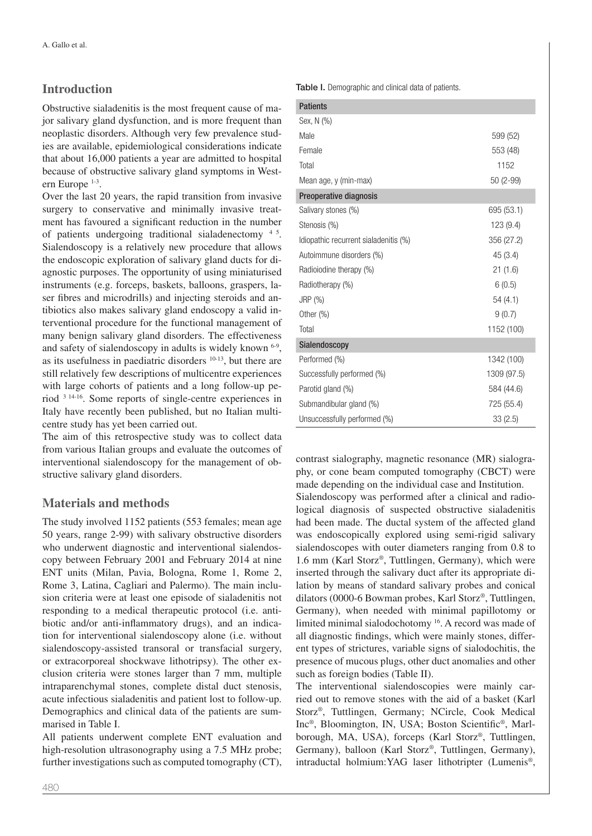# **Introduction**

Obstructive sialadenitis is the most frequent cause of major salivary gland dysfunction, and is more frequent than neoplastic disorders. Although very few prevalence studies are available, epidemiological considerations indicate that about 16,000 patients a year are admitted to hospital because of obstructive salivary gland symptoms in Western Europe 1-3.

Over the last 20 years, the rapid transition from invasive surgery to conservative and minimally invasive treatment has favoured a significant reduction in the number of patients undergoing traditional sialadenectomy 4 5. Sialendoscopy is a relatively new procedure that allows the endoscopic exploration of salivary gland ducts for diagnostic purposes. The opportunity of using miniaturised instruments (e.g. forceps, baskets, balloons, graspers, laser fibres and microdrills) and injecting steroids and antibiotics also makes salivary gland endoscopy a valid interventional procedure for the functional management of many benign salivary gland disorders. The effectiveness and safety of sialendoscopy in adults is widely known 6-9, as its usefulness in paediatric disorders  $10-13$ , but there are still relatively few descriptions of multicentre experiences with large cohorts of patients and a long follow-up period 3 14-16. Some reports of single-centre experiences in Italy have recently been published, but no Italian multicentre study has yet been carried out.

The aim of this retrospective study was to collect data from various Italian groups and evaluate the outcomes of interventional sialendoscopy for the management of obstructive salivary gland disorders.

# **Materials and methods**

The study involved 1152 patients (553 females; mean age 50 years, range 2-99) with salivary obstructive disorders who underwent diagnostic and interventional sialendoscopy between February 2001 and February 2014 at nine ENT units (Milan, Pavia, Bologna, Rome 1, Rome 2, Rome 3, Latina, Cagliari and Palermo). The main inclusion criteria were at least one episode of sialadenitis not responding to a medical therapeutic protocol (i.e. antibiotic and/or anti-inflammatory drugs), and an indication for interventional sialendoscopy alone (i.e. without sialendoscopy-assisted transoral or transfacial surgery, or extracorporeal shockwave lithotripsy). The other exclusion criteria were stones larger than 7 mm, multiple intraparenchymal stones, complete distal duct stenosis, acute infectious sialadenitis and patient lost to follow-up. Demographics and clinical data of the patients are summarised in Table I.

All patients underwent complete ENT evaluation and high-resolution ultrasonography using a 7.5 MHz probe; further investigations such as computed tomography (CT), Table I. Demographic and clinical data of patients.

| <b>Patients</b>                       |             |
|---------------------------------------|-------------|
| Sex, N (%)                            |             |
| Male                                  | 599 (52)    |
| Female                                | 553 (48)    |
| Total                                 | 1152        |
| Mean age, y (min-max)                 | 50 (2-99)   |
| Preoperative diagnosis                |             |
| Salivary stones (%)                   | 695 (53.1)  |
| Stenosis (%)                          | 123 (9.4)   |
| Idiopathic recurrent sialadenitis (%) | 356 (27.2)  |
| Autoimmune disorders (%)              | 45(3.4)     |
| Radioiodine therapy (%)               | 21(1.6)     |
| Radiotherapy (%)                      | 6(0.5)      |
| JRP (%)                               | 54(4.1)     |
| Other $(\%)$                          | 9(0.7)      |
| Total                                 | 1152 (100)  |
| Sialendoscopy                         |             |
| Performed (%)                         | 1342 (100)  |
| Successfully performed (%)            | 1309 (97.5) |
| Parotid gland (%)                     | 584 (44.6)  |
| Submandibular gland (%)               | 725 (55.4)  |
| Unsuccessfully performed (%)          | 33(2.5)     |

contrast sialography, magnetic resonance (MR) sialography, or cone beam computed tomography (CBCT) were made depending on the individual case and Institution. Sialendoscopy was performed after a clinical and radiological diagnosis of suspected obstructive sialadenitis had been made. The ductal system of the affected gland was endoscopically explored using semi-rigid salivary sialendoscopes with outer diameters ranging from 0.8 to 1.6 mm (Karl Storz®, Tuttlingen, Germany), which were inserted through the salivary duct after its appropriate dilation by means of standard salivary probes and conical dilators (0000-6 Bowman probes, Karl Storz®, Tuttlingen, Germany), when needed with minimal papillotomy or limited minimal sialodochotomy 16. A record was made of all diagnostic findings, which were mainly stones, different types of strictures, variable signs of sialodochitis, the presence of mucous plugs, other duct anomalies and other such as foreign bodies (Table II).

The interventional sialendoscopies were mainly carried out to remove stones with the aid of a basket (Karl Storz®, Tuttlingen, Germany; NCircle, Cook Medical Inc®, Bloomington, IN, USA; Boston Scientific®, Marlborough, MA, USA), forceps (Karl Storz®, Tuttlingen, Germany), balloon (Karl Storz®, Tuttlingen, Germany), intraductal holmium:YAG laser lithotripter (Lumenis®,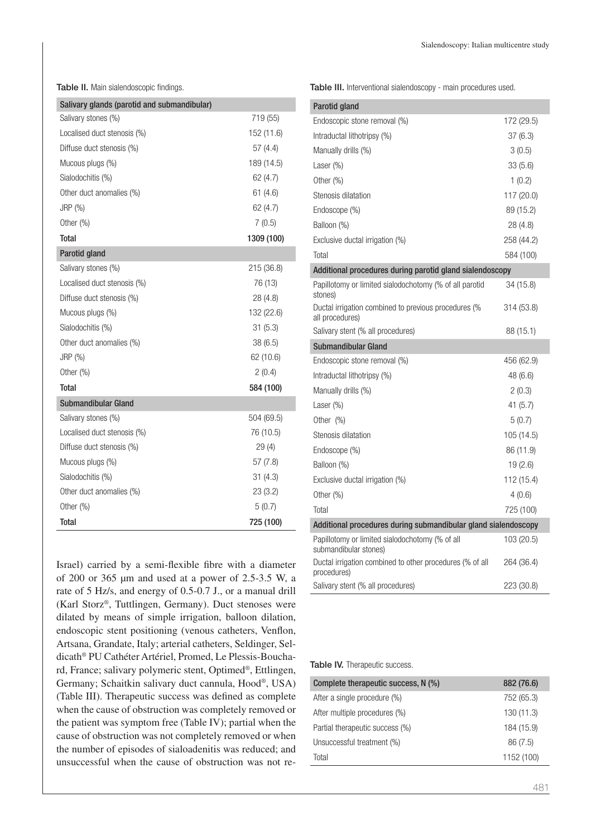Table II. Main sialendoscopic findings.

| Salivary glands (parotid and submandibular) |            |
|---------------------------------------------|------------|
| Salivary stones (%)                         | 719 (55)   |
| Localised duct stenosis (%)                 | 152 (11.6) |
| Diffuse duct stenosis (%)                   | 57(4.4)    |
| Mucous plugs (%)                            | 189 (14.5) |
| Sialodochitis (%)                           | 62 (4.7)   |
| Other duct anomalies (%)                    | 61(4.6)    |
| $JRP$ $(\%)$                                | 62 (4.7)   |
| Other $(\%)$                                | 7(0.5)     |
| <b>Total</b>                                | 1309 (100) |
| Parotid gland                               |            |
| Salivary stones (%)                         | 215 (36.8) |
| Localised duct stenosis (%)                 | 76 (13)    |
| Diffuse duct stenosis (%)                   | 28 (4.8)   |
| Mucous plugs (%)                            | 132 (22.6) |
| Sialodochitis (%)                           | 31(5.3)    |
| Other duct anomalies (%)                    | 38(6.5)    |
| JRP (%)                                     | 62 (10.6)  |
| Other $(\%)$                                | 2(0.4)     |
| <b>Total</b>                                | 584 (100)  |
| <b>Submandibular Gland</b>                  |            |
| Salivary stones (%)                         | 504 (69.5) |
| Localised duct stenosis (%)                 | 76 (10.5)  |
| Diffuse duct stenosis (%)                   | 29(4)      |
| Mucous plugs (%)                            | 57 (7.8)   |
| Sialodochitis (%)                           | 31(4.3)    |
| Other duct anomalies (%)                    | 23(3.2)    |
| Other $(\%)$                                | 5(0.7)     |
| <b>Total</b>                                | 725 (100)  |

Israel) carried by a semi-flexible fibre with a diameter of 200 or 365 µm and used at a power of 2.5-3.5 W, a rate of 5 Hz/s, and energy of 0.5-0.7 J., or a manual drill (Karl Storz®, Tuttlingen, Germany). Duct stenoses were dilated by means of simple irrigation, balloon dilation, endoscopic stent positioning (venous catheters, Venflon, Artsana, Grandate, Italy; arterial catheters, Seldinger, Seldicath® PU Cathéter Artériel, Promed, Le Plessis-Bouchard, France; salivary polymeric stent, Optimed®, Ettlingen, Germany; Schaitkin salivary duct cannula, Hood®, USA) (Table III). Therapeutic success was defined as complete when the cause of obstruction was completely removed or the patient was symptom free (Table IV); partial when the cause of obstruction was not completely removed or when the number of episodes of sialoadenitis was reduced; and unsuccessful when the cause of obstruction was not reTable III. Interventional sialendoscopy - main procedures used.

| Parotid gland                                                            |            |  |
|--------------------------------------------------------------------------|------------|--|
| Endoscopic stone removal (%)                                             | 172 (29.5) |  |
| Intraductal lithotripsy (%)                                              | 37(6.3)    |  |
| Manually drills (%)                                                      | 3(0.5)     |  |
| Laser $(\%)$                                                             | 33(5.6)    |  |
| Other (%)                                                                | 1(0.2)     |  |
| Stenosis dilatation                                                      | 117 (20.0) |  |
| Endoscope (%)                                                            | 89 (15.2)  |  |
| Balloon (%)                                                              | 28 (4.8)   |  |
| Exclusive ductal irrigation (%)                                          | 258 (44.2) |  |
| Total                                                                    | 584 (100)  |  |
| Additional procedures during parotid gland sialendoscopy                 |            |  |
| Papillotomy or limited sialodochotomy (% of all parotid<br>stones)       | 34 (15.8)  |  |
| Ductal irrigation combined to previous procedures (%<br>all procedures)  | 314 (53.8) |  |
| Salivary stent (% all procedures)                                        | 88 (15.1)  |  |
| Submandibular Gland                                                      |            |  |
| Endoscopic stone removal (%)                                             | 456 (62.9) |  |
| Intraductal lithotripsy (%)                                              | 48 (6.6)   |  |
| Manually drills (%)                                                      | 2(0.3)     |  |
| Laser (%)                                                                | 41 (5.7)   |  |
| Other $(\%)$                                                             | 5(0.7)     |  |
| Stenosis dilatation                                                      | 105 (14.5) |  |
| Endoscope (%)                                                            | 86 (11.9)  |  |
| Balloon (%)                                                              | 19(2.6)    |  |
| Exclusive ductal irrigation (%)                                          | 112 (15.4) |  |
| Other $(\%)$                                                             | 4(0.6)     |  |
| Total                                                                    | 725 (100)  |  |
| Additional procedures during submandibular gland sialendoscopy           |            |  |
| Papillotomy or limited sialodochotomy (% of all<br>submandibular stones) | 103 (20.5) |  |
| Ductal irrigation combined to other procedures (% of all<br>procedures)  | 264 (36.4) |  |
| Salivary stent (% all procedures)                                        | 223 (30.8) |  |

Table IV. Therapeutic success.

 $\overline{a}$ 

| Complete therapeutic success, N (%) | 882 (76.6) |
|-------------------------------------|------------|
| After a single procedure (%)        | 752 (65.3) |
| After multiple procedures (%)       | 130(11.3)  |
| Partial therapeutic success (%)     | 184 (15.9) |
| Unsuccessful treatment (%)          | 86 (7.5)   |
| Total                               | 1152 (100) |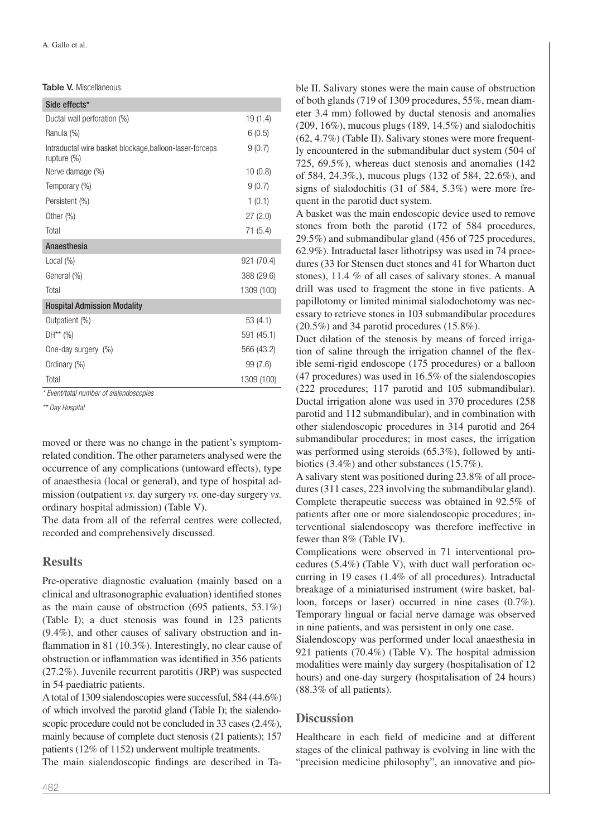| <b>Table V.</b> Miscellaneous. |
|--------------------------------|
|--------------------------------|

| Side effects*                                                          |            |
|------------------------------------------------------------------------|------------|
| Ductal wall perforation (%)                                            | 19 (1.4)   |
| Ranula (%)                                                             | 6(0.5)     |
| Intraductal wire basket blockage, balloon-laser-forceps<br>rupture (%) | 9(0.7)     |
| Nerve damage (%)                                                       | 10(0.8)    |
| Temporary (%)                                                          | 9(0.7)     |
| Persistent (%)                                                         | 1(0.1)     |
| Other $(\%)$                                                           | 27(2.0)    |
| Total                                                                  | 71(5.4)    |
| Anaesthesia                                                            |            |
| Local $(\%)$                                                           | 921 (70.4) |
| General (%)                                                            | 388 (29.6) |
| Total                                                                  | 1309 (100) |
| <b>Hospital Admission Modality</b>                                     |            |
| Outpatient (%)                                                         | 53 (4.1)   |
| $DH^{**} (%)$                                                          | 591 (45.1) |
| One-day surgery (%)                                                    | 566 (43.2) |
| Ordinary (%)                                                           | 99(7.6)    |
| Total                                                                  | 1309 (100) |

*\* Event/total number of sialendoscopies*

*\*\* Day Hospital*

moved or there was no change in the patient's symptomrelated condition. The other parameters analysed were the occurrence of any complications (untoward effects), type of anaesthesia (local or general), and type of hospital admission (outpatient *vs.* day surgery *vs.* one-day surgery *vs.* ordinary hospital admission) (Table V).

The data from all of the referral centres were collected, recorded and comprehensively discussed.

## **Results**

Pre-operative diagnostic evaluation (mainly based on a clinical and ultrasonographic evaluation) identified stones as the main cause of obstruction (695 patients, 53.1%) (Table I); a duct stenosis was found in 123 patients (9.4%), and other causes of salivary obstruction and inflammation in 81 (10.3%). Interestingly, no clear cause of obstruction or inflammation was identified in 356 patients (27.2%). Juvenile recurrent parotitis (JRP) was suspected in 54 paediatric patients.

A total of 1309 sialendoscopies were successful, 584 (44.6%) of which involved the parotid gland (Table I); the sialendoscopic procedure could not be concluded in 33 cases (2.4%). mainly because of complete duct stenosis (21 patients); 157 patients (12% of 1152) underwent multiple treatments.

The main sialendoscopic findings are described in Ta-

ble II. Salivary stones were the main cause of obstruction of both glands (719 of 1309 procedures, 55%, mean diameter 3.4 mm) followed by ductal stenosis and anomalies  $(209, 16\%)$ , mucous plugs  $(189, 14.5\%)$  and sialodochitis (62, 4.7%) (Table II). Salivary stones were more frequently encountered in the submandibular duct system (504 of 725, 69.5%), whereas duct stenosis and anomalies (142 of 584, 24.3%,), mucous plugs (132 of 584, 22.6%), and signs of sialodochitis (31 of 584, 5.3%) were more frequent in the parotid duct system.

A basket was the main endoscopic device used to remove stones from both the parotid (172 of 584 procedures, 29.5%) and submandibular gland (456 of 725 procedures, 62.9%). Intraductal laser lithotripsy was used in 74 procedures (33 for Stensen duct stones and 41 for Wharton duct stones), 11.4 % of all cases of salivary stones. A manual drill was used to fragment the stone in five patients. A papillotomy or limited minimal sialodochotomy was necessary to retrieve stones in 103 submandibular procedures (20.5%) and 34 parotid procedures (15.8%).

Duct dilation of the stenosis by means of forced irrigation of saline through the irrigation channel of the flexible semi-rigid endoscope (175 procedures) or a balloon (47 procedures) was used in 16.5% of the sialendoscopies (222 procedures; 117 parotid and 105 submandibular). Ductal irrigation alone was used in 370 procedures (258 parotid and 112 submandibular), and in combination with other sialendoscopic procedures in 314 parotid and 264 submandibular procedures; in most cases, the irrigation was performed using steroids (65.3%), followed by antibiotics (3.4%) and other substances (15.7%).

A salivary stent was positioned during 23.8% of all procedures (311 cases, 223 involving the submandibular gland). Complete therapeutic success was obtained in 92.5% of patients after one or more sialendoscopic procedures; interventional sialendoscopy was therefore ineffective in fewer than 8% (Table IV).

Complications were observed in 71 interventional procedures (5.4%) (Table V), with duct wall perforation occurring in 19 cases (1.4% of all procedures). Intraductal breakage of a miniaturised instrument (wire basket, balloon, forceps or laser) occurred in nine cases (0.7%). Temporary lingual or facial nerve damage was observed in nine patients, and was persistent in only one case.

Sialendoscopy was performed under local anaesthesia in 921 patients (70.4%) (Table V). The hospital admission modalities were mainly day surgery (hospitalisation of 12 hours) and one-day surgery (hospitalisation of 24 hours) (88.3% of all patients).

### **Discussion**

Healthcare in each field of medicine and at different stages of the clinical pathway is evolving in line with the "precision medicine philosophy", an innovative and pio-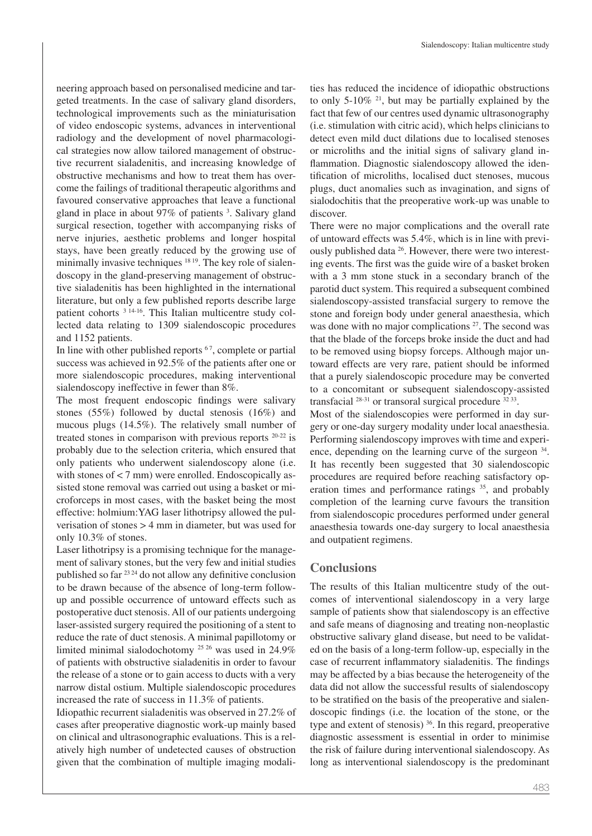neering approach based on personalised medicine and targeted treatments. In the case of salivary gland disorders, technological improvements such as the miniaturisation of video endoscopic systems, advances in interventional radiology and the development of novel pharmacological strategies now allow tailored management of obstructive recurrent sialadenitis, and increasing knowledge of obstructive mechanisms and how to treat them has overcome the failings of traditional therapeutic algorithms and favoured conservative approaches that leave a functional gland in place in about 97% of patients<sup>3</sup>. Salivary gland surgical resection, together with accompanying risks of nerve injuries, aesthetic problems and longer hospital stays, have been greatly reduced by the growing use of minimally invasive techniques <sup>18 19</sup>. The key role of sialendoscopy in the gland-preserving management of obstructive sialadenitis has been highlighted in the international literature, but only a few published reports describe large patient cohorts <sup>3 14-16</sup>. This Italian multicentre study collected data relating to 1309 sialendoscopic procedures and 1152 patients.

In line with other published reports  $67$ , complete or partial success was achieved in 92.5% of the patients after one or more sialendoscopic procedures, making interventional sialendoscopy ineffective in fewer than 8%.

The most frequent endoscopic findings were salivary stones (55%) followed by ductal stenosis (16%) and mucous plugs (14.5%). The relatively small number of treated stones in comparison with previous reports 20-22 is probably due to the selection criteria, which ensured that only patients who underwent sialendoscopy alone (i.e. with stones of  $<$  7 mm) were enrolled. Endoscopically assisted stone removal was carried out using a basket or microforceps in most cases, with the basket being the most effective: holmium:YAG laser lithotripsy allowed the pulverisation of stones > 4 mm in diameter, but was used for only 10.3% of stones.

Laser lithotripsy is a promising technique for the management of salivary stones, but the very few and initial studies published so far 23 24 do not allow any definitive conclusion to be drawn because of the absence of long-term followup and possible occurrence of untoward effects such as postoperative duct stenosis. All of our patients undergoing laser-assisted surgery required the positioning of a stent to reduce the rate of duct stenosis. A minimal papillotomy or limited minimal sialodochotomy 25 26 was used in 24.9% of patients with obstructive sialadenitis in order to favour the release of a stone or to gain access to ducts with a very narrow distal ostium. Multiple sialendoscopic procedures increased the rate of success in 11.3% of patients.

Idiopathic recurrent sialadenitis was observed in 27.2% of cases after preoperative diagnostic work-up mainly based on clinical and ultrasonographic evaluations. This is a relatively high number of undetected causes of obstruction given that the combination of multiple imaging modalities has reduced the incidence of idiopathic obstructions to only 5-10%  $21$ , but may be partially explained by the fact that few of our centres used dynamic ultrasonography (i.e. stimulation with citric acid), which helps clinicians to detect even mild duct dilations due to localised stenoses or microliths and the initial signs of salivary gland inflammation. Diagnostic sialendoscopy allowed the identification of microliths, localised duct stenoses, mucous plugs, duct anomalies such as invagination, and signs of sialodochitis that the preoperative work-up was unable to discover.

There were no major complications and the overall rate of untoward effects was 5.4%, which is in line with previously published data <sup>26</sup>. However, there were two interesting events. The first was the guide wire of a basket broken with a 3 mm stone stuck in a secondary branch of the parotid duct system. This required a subsequent combined sialendoscopy-assisted transfacial surgery to remove the stone and foreign body under general anaesthesia, which was done with no major complications <sup>27</sup>. The second was that the blade of the forceps broke inside the duct and had to be removed using biopsy forceps. Although major untoward effects are very rare, patient should be informed that a purely sialendoscopic procedure may be converted to a concomitant or subsequent sialendoscopy-assisted transfacial 28-31 or transoral surgical procedure 32 33.

Most of the sialendoscopies were performed in day surgery or one-day surgery modality under local anaesthesia. Performing sialendoscopy improves with time and experience, depending on the learning curve of the surgeon  $34$ . It has recently been suggested that 30 sialendoscopic procedures are required before reaching satisfactory operation times and performance ratings <sup>35</sup>, and probably completion of the learning curve favours the transition from sialendoscopic procedures performed under general anaesthesia towards one-day surgery to local anaesthesia and outpatient regimens.

## **Conclusions**

The results of this Italian multicentre study of the outcomes of interventional sialendoscopy in a very large sample of patients show that sialendoscopy is an effective and safe means of diagnosing and treating non-neoplastic obstructive salivary gland disease, but need to be validated on the basis of a long-term follow-up, especially in the case of recurrent inflammatory sialadenitis. The findings may be affected by a bias because the heterogeneity of the data did not allow the successful results of sialendoscopy to be stratified on the basis of the preoperative and sialendoscopic findings (i.e. the location of the stone, or the type and extent of stenosis) 36. In this regard, preoperative diagnostic assessment is essential in order to minimise the risk of failure during interventional sialendoscopy. As long as interventional sialendoscopy is the predominant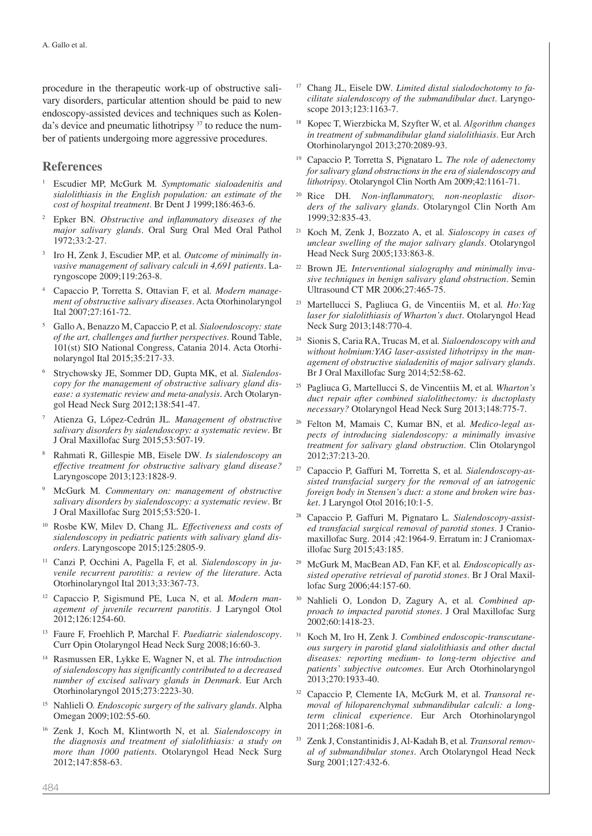procedure in the therapeutic work-up of obstructive salivary disorders, particular attention should be paid to new endoscopy-assisted devices and techniques such as Kolenda's device and pneumatic lithotripsy 37 to reduce the number of patients undergoing more aggressive procedures.

## **References**

- <sup>1</sup> Escudier MP, McGurk M*. Symptomatic sialoadenitis and sialolithiasis in the English population: an estimate of the cost of hospital treatment*. Br Dent J 1999;186:463-6.
- <sup>2</sup> Epker BN*. Obstructive and inflammatory diseases of the major salivary glands*. Oral Surg Oral Med Oral Pathol 1972;33:2-27.
- <sup>3</sup> Iro H, Zenk J, Escudier MP, et al*. Outcome of minimally invasive management of salivary calculi in 4,691 patients*. Laryngoscope 2009;119:263-8.
- <sup>4</sup> Capaccio P, Torretta S, Ottavian F, et al*. Modern management of obstructive salivary diseases*. Acta Otorhinolaryngol Ital 2007;27:161-72.
- <sup>5</sup> Gallo A, Benazzo M, Capaccio P, et al*. Sialoendoscopy: state of the art, challenges and further perspectives*. Round Table, 101(st) SIO National Congress, Catania 2014. Acta Otorhinolaryngol Ital 2015;35:217-33.
- <sup>6</sup> Strychowsky JE, Sommer DD, Gupta MK, et al*. Sialendoscopy for the management of obstructive salivary gland disease: a systematic review and meta-analysis*. Arch Otolaryngol Head Neck Surg 2012;138:541-47.
- <sup>7</sup> Atienza G, López-Cedrún JL*. Management of obstructive salivary disorders by sialendoscopy: a systematic review*. Br J Oral Maxillofac Surg 2015;53:507-19.
- <sup>8</sup> Rahmati R, Gillespie MB, Eisele DW*. Is sialendoscopy an effective treatment for obstructive salivary gland disease?*  Laryngoscope 2013;123:1828-9.
- <sup>9</sup> McGurk M*. Commentary on: management of obstructive salivary disorders by sialendoscopy: a systematic review*. Br J Oral Maxillofac Surg 2015;53:520-1.
- <sup>10</sup> Rosbe KW, Milev D, Chang JL*. Effectiveness and costs of sialendoscopy in pediatric patients with salivary gland disorders*. Laryngoscope 2015;125:2805-9.
- <sup>11</sup> Canzi P, Occhini A, Pagella F, et al*. Sialendoscopy in juvenile recurrent parotitis: a review of the literature*. Acta Otorhinolaryngol Ital 2013;33:367-73.
- <sup>12</sup> Capaccio P, Sigismund PE, Luca N, et al*. Modern management of juvenile recurrent parotitis*. J Laryngol Otol 2012;126:1254-60.
- <sup>13</sup> Faure F, Froehlich P, Marchal F*. Paediatric sialendoscopy*. Curr Opin Otolaryngol Head Neck Surg 2008;16:60-3.
- <sup>14</sup> Rasmussen ER, Lykke E, Wagner N, et al*. The introduction of sialendoscopy has significantly contributed to a decreased number of excised salivary glands in Denmark*. Eur Arch Otorhinolaryngol 2015;273:2223-30.
- <sup>15</sup> Nahlieli O*. Endoscopic surgery of the salivary glands*. Alpha Omegan 2009;102:55-60.
- <sup>16</sup> Zenk J, Koch M, Klintworth N, et al*. Sialendoscopy in the diagnosis and treatment of sialolithiasis: a study on more than 1000 patients*. Otolaryngol Head Neck Surg 2012;147:858-63.
- Chang JL, Eisele DW. Limited distal sialodochotomy to fa*cilitate sialendoscopy of the submandibular duct*. Laryngoscope 2013;123:1163-7.
- <sup>18</sup> Kopec T, Wierzbicka M, Szyfter W, et al*. Algorithm changes in treatment of submandibular gland sialolithiasis*. Eur Arch Otorhinolaryngol 2013;270:2089-93.
- <sup>19</sup> Capaccio P, Torretta S, Pignataro L*. The role of adenectomy for salivary gland obstructions in the era of sialendoscopy and lithotripsy*. Otolaryngol Clin North Am 2009;42:1161-71.
- <sup>20</sup> Rice DH*. Non-inflammatory, non-neoplastic disorders of the salivary glands*. Otolaryngol Clin North Am 1999;32:835-43.
- <sup>21</sup> Koch M, Zenk J, Bozzato A, et al*. Sialoscopy in cases of unclear swelling of the major salivary glands*. Otolaryngol Head Neck Surg 2005;133:863-8.
- <sup>22</sup> Brown JE*. Interventional sialography and minimally invasive techniques in benign salivary gland obstruction*. Semin Ultrasound CT MR 2006;27:465-75.
- <sup>23</sup> Martellucci S, Pagliuca G, de Vincentiis M, et al*. Ho:Yag laser for sialolithiasis of Wharton's duct*. Otolaryngol Head Neck Surg 2013;148:770-4.
- <sup>24</sup> Sionis S, Caria RA, Trucas M, et al*. Sialoendoscopy with and without holmium:YAG laser-assisted lithotripsy in the management of obstructive sialadenitis of major salivary glands*. Br J Oral Maxillofac Surg 2014;52:58-62.
- <sup>25</sup> Pagliuca G, Martellucci S, de Vincentiis M, et al*. Wharton's duct repair after combined sialolithectomy: is ductoplasty necessary?* Otolaryngol Head Neck Surg 2013;148:775-7.
- <sup>26</sup> Felton M, Mamais C, Kumar BN, et al*. Medico-legal aspects of introducing sialendoscopy: a minimally invasive treatment for salivary gland obstruction*. Clin Otolaryngol 2012;37:213-20.
- <sup>27</sup> Capaccio P, Gaffuri M, Torretta S, et al*. Sialendoscopy-assisted transfacial surgery for the removal of an iatrogenic foreign body in Stensen's duct: a stone and broken wire basket*. J Laryngol Otol 2016;10:1-5.
- <sup>28</sup> Capaccio P, Gaffuri M, Pignataro L*. Sialendoscopy-assisted transfacial surgical removal of parotid stones*. J Craniomaxillofac Surg. 2014 ;42:1964-9. Erratum in: J Craniomaxillofac Surg 2015;43:185.
- <sup>29</sup> McGurk M, MacBean AD, Fan KF, et al*. Endoscopically assisted operative retrieval of parotid stones*. Br J Oral Maxillofac Surg 2006;44:157-60.
- Nahlieli O, London D, Zagury A, et al. Combined ap*proach to impacted parotid stones*. J Oral Maxillofac Surg 2002;60:1418-23.
- <sup>31</sup> Koch M, Iro H, Zenk J*. Combined endoscopic-transcutaneous surgery in parotid gland sialolithiasis and other ductal diseases: reporting medium- to long-term objective and patients' subjective outcomes*. Eur Arch Otorhinolaryngol 2013;270:1933-40.
- <sup>32</sup> Capaccio P, Clemente IA, McGurk M, et al*. Transoral removal of hiloparenchymal submandibular calculi: a longterm clinical experience*. Eur Arch Otorhinolaryngol 2011;268:1081-6.
- <sup>33</sup> Zenk J, Constantinidis J, Al-Kadah B, et al*. Transoral removal of submandibular stones*. Arch Otolaryngol Head Neck Surg 2001;127:432-6.